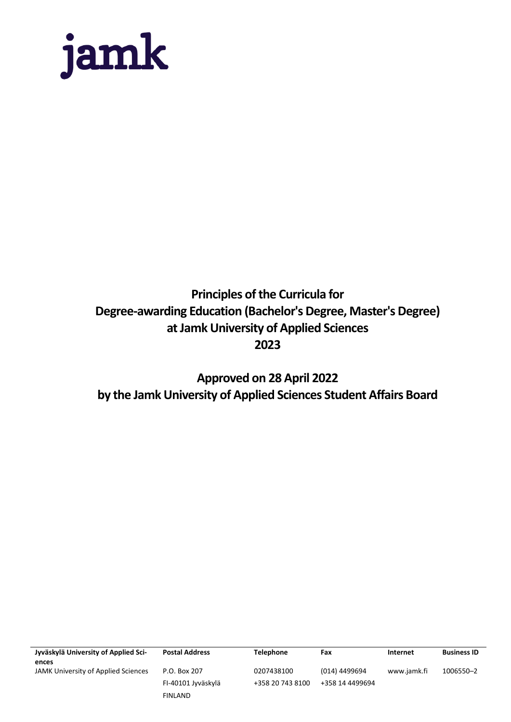

# **Principles of the Curricula for Degree-awarding Education (Bachelor's Degree, Master's Degree) at Jamk University of Applied Sciences 2023**

**Approved on 28 April 2022 by the Jamk University of Applied Sciences Student Affairs Board**

| Jyväskylä University of Applied Sci- | <b>Postal Address</b> | <b>Telephone</b> | Fax             | Internet    | <b>Business ID</b> |
|--------------------------------------|-----------------------|------------------|-----------------|-------------|--------------------|
| ences                                |                       |                  |                 |             |                    |
| JAMK University of Applied Sciences  | P.O. Box 207          | 0207438100       | (014) 4499694   | www.jamk.fi | 1006550-2          |
|                                      | FI-40101 Jyväskylä    | +358 20 743 8100 | +358 14 4499694 |             |                    |
|                                      | <b>FINLAND</b>        |                  |                 |             |                    |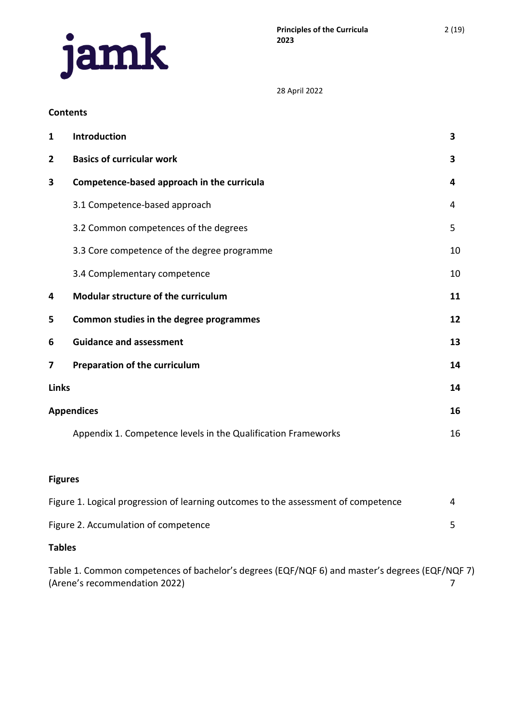

#### **Contents**

| $\mathbf{1}$   | Introduction                                                  | 3  |
|----------------|---------------------------------------------------------------|----|
| $\overline{2}$ | <b>Basics of curricular work</b>                              | 3  |
| 3              | Competence-based approach in the curricula                    | 4  |
|                | 3.1 Competence-based approach                                 | 4  |
|                | 3.2 Common competences of the degrees                         | 5  |
|                | 3.3 Core competence of the degree programme                   | 10 |
|                | 3.4 Complementary competence                                  | 10 |
| 4              | Modular structure of the curriculum                           | 11 |
| 5              | Common studies in the degree programmes                       | 12 |
| 6              | <b>Guidance and assessment</b>                                | 13 |
| 7              | Preparation of the curriculum                                 | 14 |
| <b>Links</b>   |                                                               | 14 |
|                | <b>Appendices</b>                                             | 16 |
|                | Appendix 1. Competence levels in the Qualification Frameworks | 16 |

# **Figures**

| Figure 1. Logical progression of learning outcomes to the assessment of competence |  |
|------------------------------------------------------------------------------------|--|
| Figure 2. Accumulation of competence                                               |  |

### **Tables**

Table 1. Common competences of bachelor's degrees (EQF/NQF 6) and master's degrees (EQF/NQF 7) (Arene's recommendation 2022) 7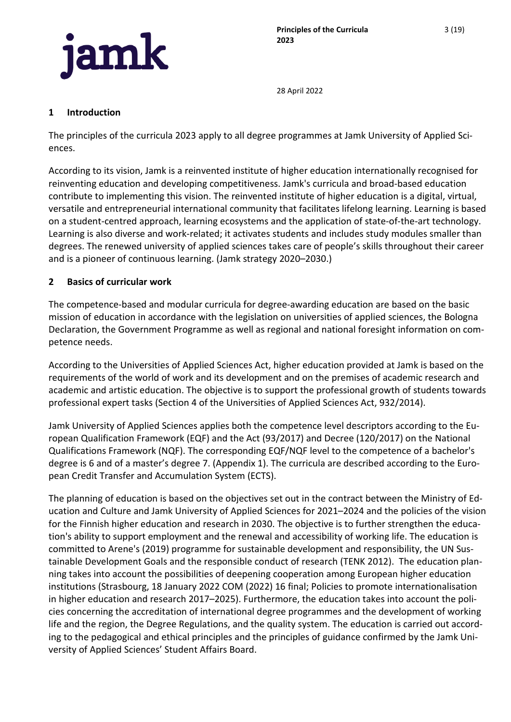

## <span id="page-2-0"></span>**1 Introduction**

The principles of the curricula 2023 apply to all degree programmes at Jamk University of Applied Sciences.

According to its vision, Jamk is a reinvented institute of higher education internationally recognised for reinventing education and developing competitiveness. Jamk's curricula and broad-based education contribute to implementing this vision. The reinvented institute of higher education is a digital, virtual, versatile and entrepreneurial international community that facilitates lifelong learning. Learning is based on a student-centred approach, learning ecosystems and the application of state-of-the-art technology. Learning is also diverse and work-related; it activates students and includes study modules smaller than degrees. The renewed university of applied sciences takes care of people's skills throughout their career and is a pioneer of continuous learning. (Jamk strategy 2020–2030.)

# <span id="page-2-1"></span>**2 Basics of curricular work**

The competence-based and modular curricula for degree-awarding education are based on the basic mission of education in accordance with the legislation on universities of applied sciences, the Bologna Declaration, the Government Programme as well as regional and national foresight information on competence needs.

According to the Universities of Applied Sciences Act, higher education provided at Jamk is based on the requirements of the world of work and its development and on the premises of academic research and academic and artistic education. The objective is to support the professional growth of students towards professional expert tasks (Section 4 of the Universities of Applied Sciences Act, 932/2014).

Jamk University of Applied Sciences applies both the competence level descriptors according to the European Qualification Framework (EQF) and the Act (93/2017) and Decree (120/2017) on the National Qualifications Framework (NQF). The corresponding EQF/NQF level to the competence of a bachelor's degree is 6 and of a master's degree 7. (Appendix 1). The curricula are described according to the European Credit Transfer and Accumulation System (ECTS).

The planning of education is based on the objectives set out in the contract between the Ministry of Education and Culture and Jamk University of Applied Sciences for 2021–2024 and the policies of the vision for the Finnish higher education and research in 2030. The objective is to further strengthen the education's ability to support employment and the renewal and accessibility of working life. The education is committed to Arene's (2019) programme for sustainable development and responsibility, the UN Sustainable Development Goals and the responsible conduct of research (TENK 2012). The education planning takes into account the possibilities of deepening cooperation among European higher education institutions (Strasbourg, 18 January 2022 COM (2022) 16 final; Policies to promote internationalisation in higher education and research 2017–2025). Furthermore, the education takes into account the policies concerning the accreditation of international degree programmes and the development of working life and the region, the Degree Regulations, and the quality system. The education is carried out according to the pedagogical and ethical principles and the principles of guidance confirmed by the Jamk University of Applied Sciences' Student Affairs Board.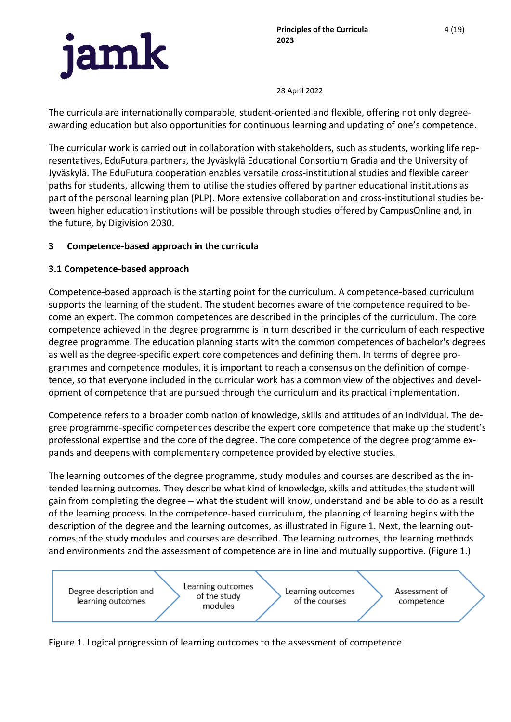

The curricula are internationally comparable, student-oriented and flexible, offering not only degreeawarding education but also opportunities for continuous learning and updating of one's competence.

The curricular work is carried out in collaboration with stakeholders, such as students, working life representatives, EduFutura partners, the Jyväskylä Educational Consortium Gradia and the University of Jyväskylä. The EduFutura cooperation enables versatile cross-institutional studies and flexible career paths for students, allowing them to utilise the studies offered by partner educational institutions as part of the personal learning plan (PLP). More extensive collaboration and cross-institutional studies between higher education institutions will be possible through studies offered by CampusOnline and, in the future, by Digivision 2030.

# <span id="page-3-0"></span>**3 Competence-based approach in the curricula**

# <span id="page-3-1"></span>**3.1 Competence-based approach**

Competence-based approach is the starting point for the curriculum. A competence-based curriculum supports the learning of the student. The student becomes aware of the competence required to become an expert. The common competences are described in the principles of the curriculum. The core competence achieved in the degree programme is in turn described in the curriculum of each respective degree programme. The education planning starts with the common competences of bachelor's degrees as well as the degree-specific expert core competences and defining them. In terms of degree programmes and competence modules, it is important to reach a consensus on the definition of competence, so that everyone included in the curricular work has a common view of the objectives and development of competence that are pursued through the curriculum and its practical implementation.

Competence refers to a broader combination of knowledge, skills and attitudes of an individual. The degree programme-specific competences describe the expert core competence that make up the student's professional expertise and the core of the degree. The core competence of the degree programme expands and deepens with complementary competence provided by elective studies.

The learning outcomes of the degree programme, study modules and courses are described as the intended learning outcomes. They describe what kind of knowledge, skills and attitudes the student will gain from completing the degree – what the student will know, understand and be able to do as a result of the learning process. In the competence-based curriculum, the planning of learning begins with the description of the degree and the learning outcomes, as illustrated in Figure 1. Next, the learning outcomes of the study modules and courses are described. The learning outcomes, the learning methods and environments and the assessment of competence are in line and mutually supportive. (Figure 1.)



Figure 1. Logical progression of learning outcomes to the assessment of competence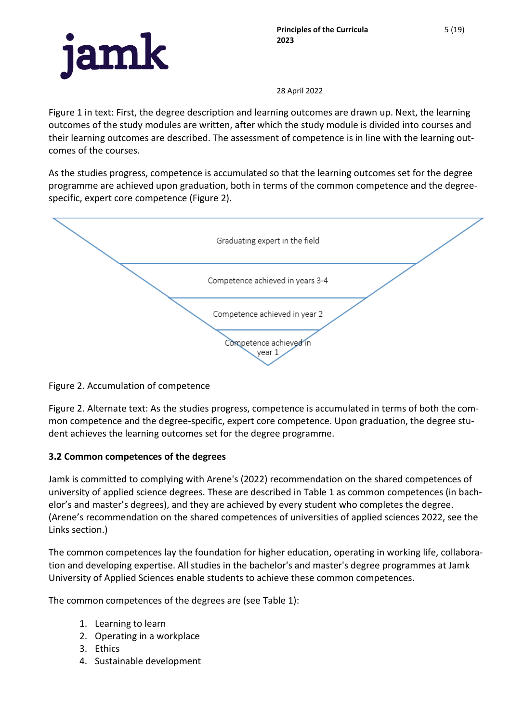Figure 1 in text: First, the degree description and learning outcomes are drawn up. Next, the learning outcomes of the study modules are written, after which the study module is divided into courses and their learning outcomes are described. The assessment of competence is in line with the learning outcomes of the courses.

As the studies progress, competence is accumulated so that the learning outcomes set for the degree programme are achieved upon graduation, both in terms of the common competence and the degreespecific, expert core competence (Figure 2).



Figure 2. Accumulation of competence

Figure 2. Alternate text: As the studies progress, competence is accumulated in terms of both the common competence and the degree-specific, expert core competence. Upon graduation, the degree student achieves the learning outcomes set for the degree programme.

# <span id="page-4-0"></span>**3.2 Common competences of the degrees**

Jamk is committed to complying with Arene's (2022) recommendation on the shared competences of university of applied science degrees. These are described in Table 1 as common competences (in bachelor's and master's degrees), and they are achieved by every student who completes the degree. (Arene's recommendation on the shared competences of universities of applied sciences 2022, see the Links section.)

The common competences lay the foundation for higher education, operating in working life, collaboration and developing expertise. All studies in the bachelor's and master's degree programmes at Jamk University of Applied Sciences enable students to achieve these common competences.

The common competences of the degrees are (see Table 1):

- 1. Learning to learn
- 2. Operating in a workplace
- 3. Ethics
- 4. Sustainable development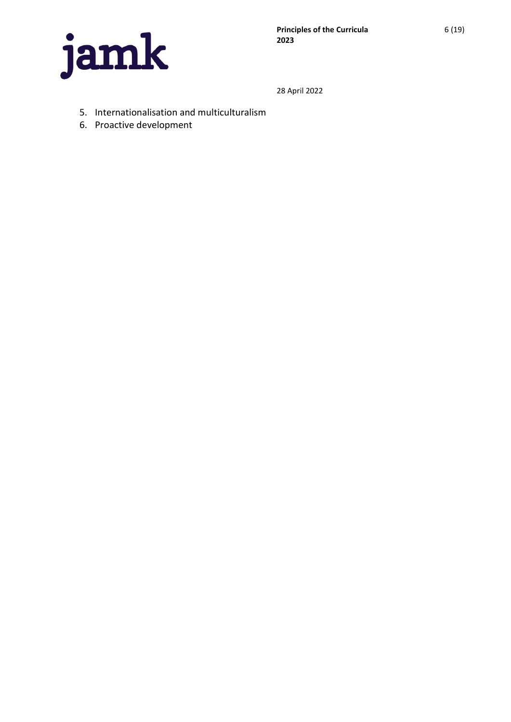

- 5. Internationalisation and multiculturalism
- 6. Proactive development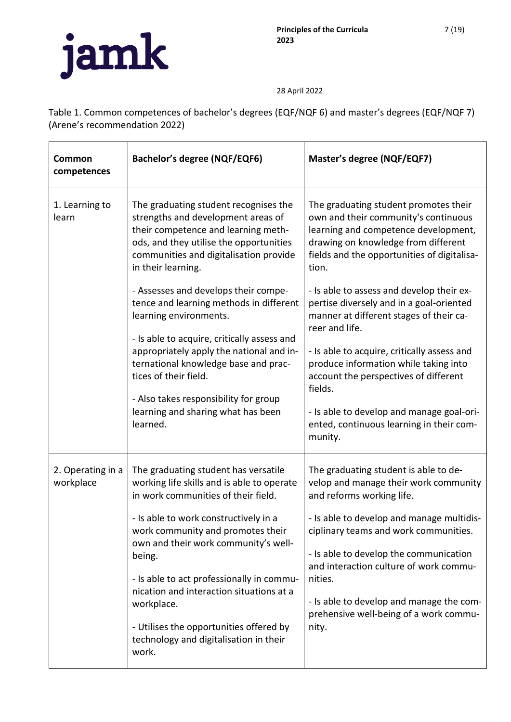Table 1. Common competences of bachelor's degrees (EQF/NQF 6) and master's degrees (EQF/NQF 7) (Arene's recommendation 2022)

| Common<br>competences          | <b>Bachelor's degree (NQF/EQF6)</b>                                                                                                                                                                                                                                                                                                                                                                                                                            | Master's degree (NQF/EQF7)                                                                                                                                                                                                                                                                                                                                                                         |
|--------------------------------|----------------------------------------------------------------------------------------------------------------------------------------------------------------------------------------------------------------------------------------------------------------------------------------------------------------------------------------------------------------------------------------------------------------------------------------------------------------|----------------------------------------------------------------------------------------------------------------------------------------------------------------------------------------------------------------------------------------------------------------------------------------------------------------------------------------------------------------------------------------------------|
| 1. Learning to<br>learn        | The graduating student recognises the<br>strengths and development areas of<br>their competence and learning meth-<br>ods, and they utilise the opportunities<br>communities and digitalisation provide<br>in their learning.                                                                                                                                                                                                                                  | The graduating student promotes their<br>own and their community's continuous<br>learning and competence development,<br>drawing on knowledge from different<br>fields and the opportunities of digitalisa-<br>tion.                                                                                                                                                                               |
|                                | - Assesses and develops their compe-<br>tence and learning methods in different<br>learning environments.<br>- Is able to acquire, critically assess and<br>appropriately apply the national and in-<br>ternational knowledge base and prac-<br>tices of their field.<br>- Also takes responsibility for group<br>learning and sharing what has been<br>learned.                                                                                               | - Is able to assess and develop their ex-<br>pertise diversely and in a goal-oriented<br>manner at different stages of their ca-<br>reer and life.<br>- Is able to acquire, critically assess and<br>produce information while taking into<br>account the perspectives of different<br>fields.<br>- Is able to develop and manage goal-ori-<br>ented, continuous learning in their com-<br>munity. |
| 2. Operating in a<br>workplace | The graduating student has versatile<br>working life skills and is able to operate<br>in work communities of their field.<br>- Is able to work constructively in a<br>work community and promotes their<br>own and their work community's well-<br>being.<br>- Is able to act professionally in commu-<br>nication and interaction situations at a<br>workplace.<br>- Utilises the opportunities offered by<br>technology and digitalisation in their<br>work. | The graduating student is able to de-<br>velop and manage their work community<br>and reforms working life.<br>- Is able to develop and manage multidis-<br>ciplinary teams and work communities.<br>- Is able to develop the communication<br>and interaction culture of work commu-<br>nities.<br>- Is able to develop and manage the com-<br>prehensive well-being of a work commu-<br>nity.    |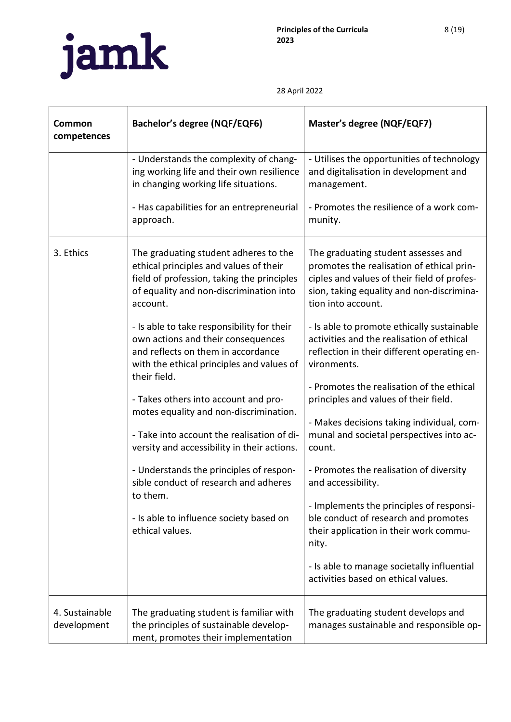

| Common<br>competences         | <b>Bachelor's degree (NQF/EQF6)</b>                                                                                                                                                  | Master's degree (NQF/EQF7)                                                                                                                                                                                                                                                                |
|-------------------------------|--------------------------------------------------------------------------------------------------------------------------------------------------------------------------------------|-------------------------------------------------------------------------------------------------------------------------------------------------------------------------------------------------------------------------------------------------------------------------------------------|
|                               | - Understands the complexity of chang-<br>ing working life and their own resilience<br>in changing working life situations.                                                          | - Utilises the opportunities of technology<br>and digitalisation in development and<br>management.                                                                                                                                                                                        |
|                               | - Has capabilities for an entrepreneurial<br>approach.                                                                                                                               | - Promotes the resilience of a work com-<br>munity.                                                                                                                                                                                                                                       |
| 3. Ethics                     | The graduating student adheres to the<br>ethical principles and values of their<br>field of profession, taking the principles<br>of equality and non-discrimination into<br>account. | The graduating student assesses and<br>promotes the realisation of ethical prin-<br>ciples and values of their field of profes-<br>sion, taking equality and non-discrimina-<br>tion into account.                                                                                        |
|                               | - Is able to take responsibility for their<br>own actions and their consequences<br>and reflects on them in accordance<br>with the ethical principles and values of<br>their field.  | - Is able to promote ethically sustainable<br>activities and the realisation of ethical<br>reflection in their different operating en-<br>vironments.                                                                                                                                     |
|                               | - Takes others into account and pro-<br>motes equality and non-discrimination.<br>- Take into account the realisation of di-<br>versity and accessibility in their actions.          | - Promotes the realisation of the ethical<br>principles and values of their field.<br>- Makes decisions taking individual, com-<br>munal and societal perspectives into ac-<br>count.                                                                                                     |
|                               | - Understands the principles of respon-<br>sible conduct of research and adheres<br>to them.<br>- Is able to influence society based on<br>ethical values.                           | - Promotes the realisation of diversity<br>and accessibility.<br>- Implements the principles of responsi-<br>ble conduct of research and promotes<br>their application in their work commu-<br>nity.<br>- Is able to manage societally influential<br>activities based on ethical values. |
| 4. Sustainable<br>development | The graduating student is familiar with<br>the principles of sustainable develop-<br>ment, promotes their implementation                                                             | The graduating student develops and<br>manages sustainable and responsible op-                                                                                                                                                                                                            |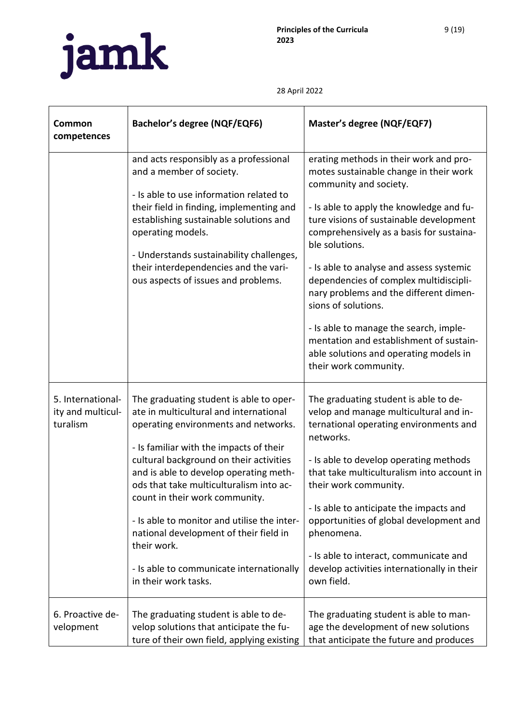

| Common<br>competences                              | <b>Bachelor's degree (NQF/EQF6)</b>                                                                                                                                                                                                                                                                                                                                                                                                                                                                                | Master's degree (NQF/EQF7)                                                                                                                                                                                                                                                                                                                                                                                                                                                                                                                                                     |
|----------------------------------------------------|--------------------------------------------------------------------------------------------------------------------------------------------------------------------------------------------------------------------------------------------------------------------------------------------------------------------------------------------------------------------------------------------------------------------------------------------------------------------------------------------------------------------|--------------------------------------------------------------------------------------------------------------------------------------------------------------------------------------------------------------------------------------------------------------------------------------------------------------------------------------------------------------------------------------------------------------------------------------------------------------------------------------------------------------------------------------------------------------------------------|
|                                                    | and acts responsibly as a professional<br>and a member of society.<br>- Is able to use information related to<br>their field in finding, implementing and<br>establishing sustainable solutions and<br>operating models.<br>- Understands sustainability challenges,<br>their interdependencies and the vari-<br>ous aspects of issues and problems.                                                                                                                                                               | erating methods in their work and pro-<br>motes sustainable change in their work<br>community and society.<br>- Is able to apply the knowledge and fu-<br>ture visions of sustainable development<br>comprehensively as a basis for sustaina-<br>ble solutions.<br>- Is able to analyse and assess systemic<br>dependencies of complex multidiscipli-<br>nary problems and the different dimen-<br>sions of solutions.<br>- Is able to manage the search, imple-<br>mentation and establishment of sustain-<br>able solutions and operating models in<br>their work community. |
| 5. International-<br>ity and multicul-<br>turalism | The graduating student is able to oper-<br>ate in multicultural and international<br>operating environments and networks.<br>- Is familiar with the impacts of their<br>cultural background on their activities<br>and is able to develop operating meth-<br>ods that take multiculturalism into ac-<br>count in their work community.<br>- Is able to monitor and utilise the inter-<br>national development of their field in<br>their work.<br>- Is able to communicate internationally<br>in their work tasks. | The graduating student is able to de-<br>velop and manage multicultural and in-<br>ternational operating environments and<br>networks.<br>- Is able to develop operating methods<br>that take multiculturalism into account in<br>their work community.<br>- Is able to anticipate the impacts and<br>opportunities of global development and<br>phenomena.<br>- Is able to interact, communicate and<br>develop activities internationally in their<br>own field.                                                                                                             |
| 6. Proactive de-<br>velopment                      | The graduating student is able to de-<br>velop solutions that anticipate the fu-<br>ture of their own field, applying existing                                                                                                                                                                                                                                                                                                                                                                                     | The graduating student is able to man-<br>age the development of new solutions<br>that anticipate the future and produces                                                                                                                                                                                                                                                                                                                                                                                                                                                      |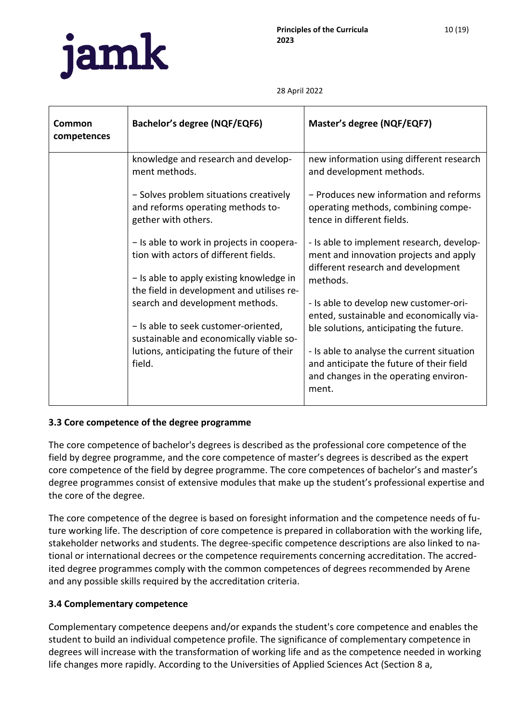

| Common<br>competences | Bachelor's degree (NQF/EQF6)                                                                                                                                                | Master's degree (NQF/EQF7)                                                                                                               |
|-----------------------|-----------------------------------------------------------------------------------------------------------------------------------------------------------------------------|------------------------------------------------------------------------------------------------------------------------------------------|
|                       | knowledge and research and develop-<br>ment methods.                                                                                                                        | new information using different research<br>and development methods.                                                                     |
|                       | - Solves problem situations creatively<br>and reforms operating methods to-<br>gether with others.                                                                          | - Produces new information and reforms<br>operating methods, combining compe-<br>tence in different fields.                              |
|                       | - Is able to work in projects in coopera-<br>tion with actors of different fields.<br>- Is able to apply existing knowledge in<br>the field in development and utilises re- | - Is able to implement research, develop-<br>ment and innovation projects and apply<br>different research and development<br>methods.    |
|                       | search and development methods.<br>- Is able to seek customer-oriented,<br>sustainable and economically viable so-                                                          | - Is able to develop new customer-ori-<br>ented, sustainable and economically via-<br>ble solutions, anticipating the future.            |
|                       | lutions, anticipating the future of their<br>field.                                                                                                                         | - Is able to analyse the current situation<br>and anticipate the future of their field<br>and changes in the operating environ-<br>ment. |

# <span id="page-9-0"></span>**3.3 Core competence of the degree programme**

The core competence of bachelor's degrees is described as the professional core competence of the field by degree programme, and the core competence of master's degrees is described as the expert core competence of the field by degree programme. The core competences of bachelor's and master's degree programmes consist of extensive modules that make up the student's professional expertise and the core of the degree.

The core competence of the degree is based on foresight information and the competence needs of future working life. The description of core competence is prepared in collaboration with the working life, stakeholder networks and students. The degree-specific competence descriptions are also linked to national or international decrees or the competence requirements concerning accreditation. The accredited degree programmes comply with the common competences of degrees recommended by Arene and any possible skills required by the accreditation criteria.

# <span id="page-9-1"></span>**3.4 Complementary competence**

Complementary competence deepens and/or expands the student's core competence and enables the student to build an individual competence profile. The significance of complementary competence in degrees will increase with the transformation of working life and as the competence needed in working life changes more rapidly. According to the Universities of Applied Sciences Act (Section 8 a,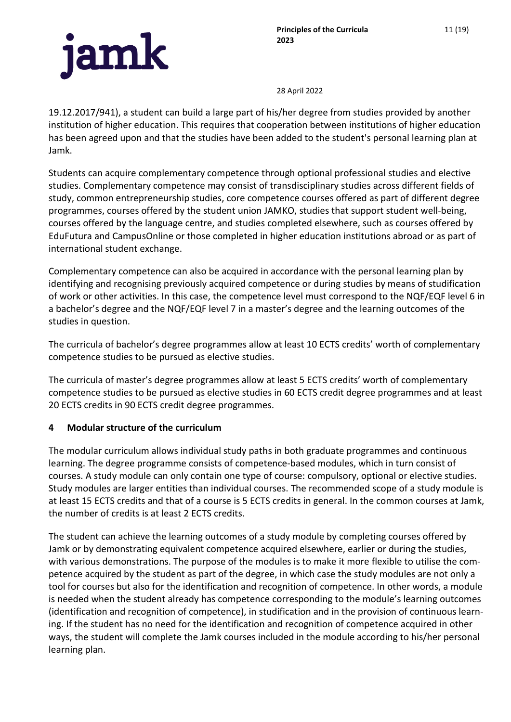

19.12.2017/941), a student can build a large part of his/her degree from studies provided by another institution of higher education. This requires that cooperation between institutions of higher education has been agreed upon and that the studies have been added to the student's personal learning plan at Jamk.

Students can acquire complementary competence through optional professional studies and elective studies. Complementary competence may consist of transdisciplinary studies across different fields of study, common entrepreneurship studies, core competence courses offered as part of different degree programmes, courses offered by the student union JAMKO, studies that support student well-being, courses offered by the language centre, and studies completed elsewhere, such as courses offered by EduFutura and CampusOnline or those completed in higher education institutions abroad or as part of international student exchange.

Complementary competence can also be acquired in accordance with the personal learning plan by identifying and recognising previously acquired competence or during studies by means of studification of work or other activities. In this case, the competence level must correspond to the NQF/EQF level 6 in a bachelor's degree and the NQF/EQF level 7 in a master's degree and the learning outcomes of the studies in question.

The curricula of bachelor's degree programmes allow at least 10 ECTS credits' worth of complementary competence studies to be pursued as elective studies.

The curricula of master's degree programmes allow at least 5 ECTS credits' worth of complementary competence studies to be pursued as elective studies in 60 ECTS credit degree programmes and at least 20 ECTS credits in 90 ECTS credit degree programmes.

### <span id="page-10-0"></span>**4 Modular structure of the curriculum**

The modular curriculum allows individual study paths in both graduate programmes and continuous learning. The degree programme consists of competence-based modules, which in turn consist of courses. A study module can only contain one type of course: compulsory, optional or elective studies. Study modules are larger entities than individual courses. The recommended scope of a study module is at least 15 ECTS credits and that of a course is 5 ECTS credits in general. In the common courses at Jamk, the number of credits is at least 2 ECTS credits.

The student can achieve the learning outcomes of a study module by completing courses offered by Jamk or by demonstrating equivalent competence acquired elsewhere, earlier or during the studies, with various demonstrations. The purpose of the modules is to make it more flexible to utilise the competence acquired by the student as part of the degree, in which case the study modules are not only a tool for courses but also for the identification and recognition of competence. In other words, a module is needed when the student already has competence corresponding to the module's learning outcomes (identification and recognition of competence), in studification and in the provision of continuous learning. If the student has no need for the identification and recognition of competence acquired in other ways, the student will complete the Jamk courses included in the module according to his/her personal learning plan.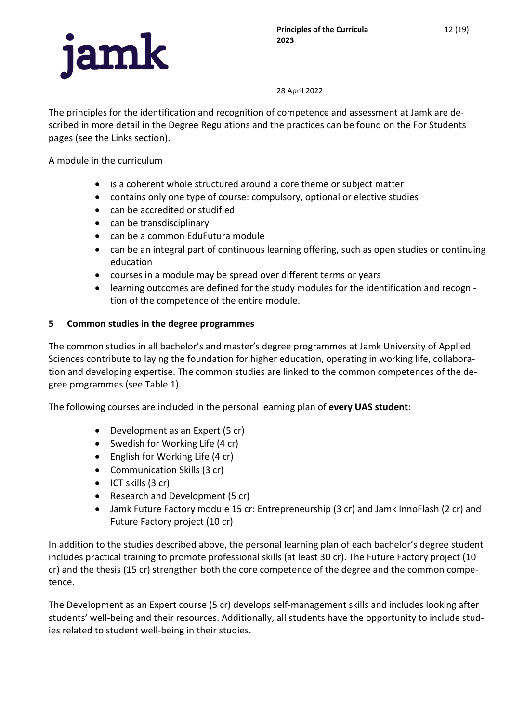

The principles for the identification and recognition of competence and assessment at Jamk are described in more detail in the Degree Regulations and the practices can be found on the For Students pages (see the Links section).

A module in the curriculum

- is a coherent whole structured around a core theme or subject matter
- contains only one type of course: compulsory, optional or elective studies
- can be accredited or studified
- can be transdisciplinary
- can be a common EduFutura module
- can be an integral part of continuous learning offering, such as open studies or continuing education
- courses in a module may be spread over different terms or years
- learning outcomes are defined for the study modules for the identification and recognition of the competence of the entire module.

# <span id="page-11-0"></span>**5 Common studies in the degree programmes**

The common studies in all bachelor's and master's degree programmes at Jamk University of Applied Sciences contribute to laying the foundation for higher education, operating in working life, collaboration and developing expertise. The common studies are linked to the common competences of the degree programmes (see Table 1).

The following courses are included in the personal learning plan of **every UAS student**:

- Development as an Expert (5 cr)
- Swedish for Working Life (4 cr)
- English for Working Life (4 cr)
- Communication Skills (3 cr)
- ICT skills (3 cr)
- Research and Development (5 cr)
- Jamk Future Factory module 15 cr: Entrepreneurship (3 cr) and Jamk InnoFlash (2 cr) and Future Factory project (10 cr)

In addition to the studies described above, the personal learning plan of each bachelor's degree student includes practical training to promote professional skills (at least 30 cr). The Future Factory project (10 cr) and the thesis (15 cr) strengthen both the core competence of the degree and the common competence.

The Development as an Expert course (5 cr) develops self-management skills and includes looking after students' well-being and their resources. Additionally, all students have the opportunity to include studies related to student well-being in their studies.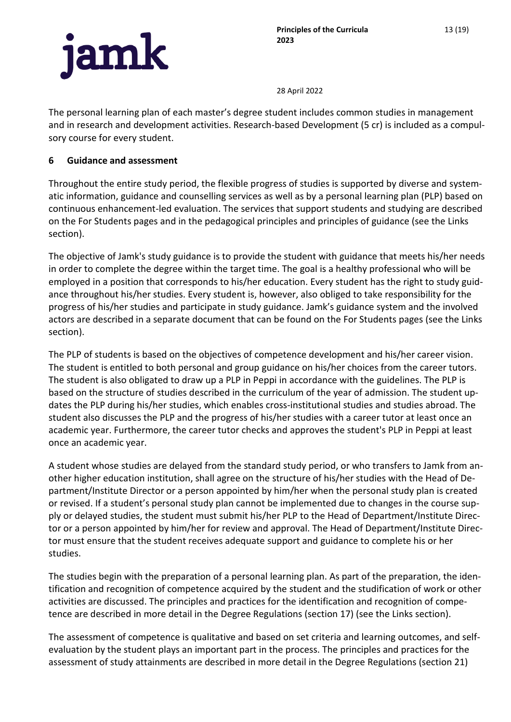

13 (19)



28 April 2022

The personal learning plan of each master's degree student includes common studies in management and in research and development activities. Research-based Development (5 cr) is included as a compulsory course for every student.

## <span id="page-12-0"></span>**6 Guidance and assessment**

Throughout the entire study period, the flexible progress of studies is supported by diverse and systematic information, guidance and counselling services as well as by a personal learning plan (PLP) based on continuous enhancement-led evaluation. The services that support students and studying are described on the For Students pages and in the pedagogical principles and principles of guidance (see the Links section).

The objective of Jamk's study guidance is to provide the student with guidance that meets his/her needs in order to complete the degree within the target time. The goal is a healthy professional who will be employed in a position that corresponds to his/her education. Every student has the right to study guidance throughout his/her studies. Every student is, however, also obliged to take responsibility for the progress of his/her studies and participate in study guidance. Jamk's guidance system and the involved actors are described in a separate document that can be found on the For Students pages (see the Links section).

The PLP of students is based on the objectives of competence development and his/her career vision. The student is entitled to both personal and group guidance on his/her choices from the career tutors. The student is also obligated to draw up a PLP in Peppi in accordance with the guidelines. The PLP is based on the structure of studies described in the curriculum of the year of admission. The student updates the PLP during his/her studies, which enables cross-institutional studies and studies abroad. The student also discusses the PLP and the progress of his/her studies with a career tutor at least once an academic year. Furthermore, the career tutor checks and approves the student's PLP in Peppi at least once an academic year.

A student whose studies are delayed from the standard study period, or who transfers to Jamk from another higher education institution, shall agree on the structure of his/her studies with the Head of Department/Institute Director or a person appointed by him/her when the personal study plan is created or revised. If a student's personal study plan cannot be implemented due to changes in the course supply or delayed studies, the student must submit his/her PLP to the Head of Department/Institute Director or a person appointed by him/her for review and approval. The Head of Department/Institute Director must ensure that the student receives adequate support and guidance to complete his or her studies.

The studies begin with the preparation of a personal learning plan. As part of the preparation, the identification and recognition of competence acquired by the student and the studification of work or other activities are discussed. The principles and practices for the identification and recognition of competence are described in more detail in the Degree Regulations (section 17) (see the Links section).

The assessment of competence is qualitative and based on set criteria and learning outcomes, and selfevaluation by the student plays an important part in the process. The principles and practices for the assessment of study attainments are described in more detail in the Degree Regulations (section 21)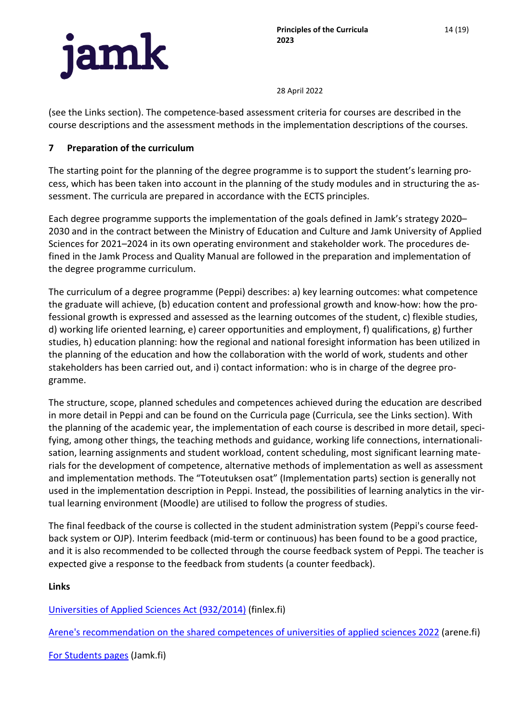

(see the Links section). The competence-based assessment criteria for courses are described in the course descriptions and the assessment methods in the implementation descriptions of the courses.

# <span id="page-13-0"></span>**7 Preparation of the curriculum**

The starting point for the planning of the degree programme is to support the student's learning process, which has been taken into account in the planning of the study modules and in structuring the assessment. The curricula are prepared in accordance with the ECTS principles.

Each degree programme supports the implementation of the goals defined in Jamk's strategy 2020– 2030 and in the contract between the Ministry of Education and Culture and Jamk University of Applied Sciences for 2021–2024 in its own operating environment and stakeholder work. The procedures defined in the Jamk Process and Quality Manual are followed in the preparation and implementation of the degree programme curriculum.

The curriculum of a degree programme (Peppi) describes: a) key learning outcomes: what competence the graduate will achieve, (b) education content and professional growth and know-how: how the professional growth is expressed and assessed as the learning outcomes of the student, c) flexible studies, d) working life oriented learning, e) career opportunities and employment, f) qualifications, g) further studies, h) education planning: how the regional and national foresight information has been utilized in the planning of the education and how the collaboration with the world of work, students and other stakeholders has been carried out, and i) contact information: who is in charge of the degree programme.

The structure, scope, planned schedules and competences achieved during the education are described in more detail in Peppi and can be found on the Curricula page (Curricula, see the Links section). With the planning of the academic year, the implementation of each course is described in more detail, specifying, among other things, the teaching methods and guidance, working life connections, internationalisation, learning assignments and student workload, content scheduling, most significant learning materials for the development of competence, alternative methods of implementation as well as assessment and implementation methods. The "Toteutuksen osat" (Implementation parts) section is generally not used in the implementation description in Peppi. Instead, the possibilities of learning analytics in the virtual learning environment (Moodle) are utilised to follow the progress of studies.

The final feedback of the course is collected in the student administration system (Peppi's course feedback system or OJP). Interim feedback (mid-term or continuous) has been found to be a good practice, and it is also recommended to be collected through the course feedback system of Peppi. The teacher is expected give a response to the feedback from students (a counter feedback).

### <span id="page-13-1"></span>**Links**

[Universities of Applied Sciences Act \(932/2014\)](https://www.finlex.fi/en/laki/kaannokset/2014/en20140932) (finlex.fi)

[Arene's recommendation on the shared competences of universities of applied sciences 2022](https://www.arene.fi/julkaisut/raportit/suositus-ammattikorkeakoulujen-yhteisista-kompetensseista-ja-niiden-soveltamisesta-2022/) (arene.fi)

[For Students pages](https://www.jamk.fi/en/for-students) (Jamk.fi)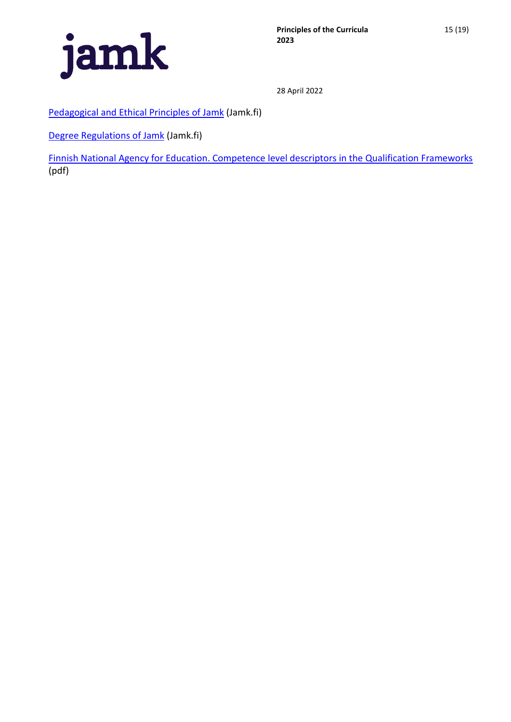

[Pedagogical and Ethical Principles of Jamk](https://www.jamk.fi/en/for-students/degree-student/regulations-and-principles) (Jamk.fi)

[Degree Regulations of Jamk](https://www.jamk.fi/en/for-students/degree-student/regulations-and-principles) (Jamk.fi)

[Finnish National Agency for Education.](https://www.oph.fi/sites/default/files/documents/tutkintojen_viitekehysten_osaamistasokuvaukset_fi_sv_en.pdf) [Competence level descriptors in the Qualification Frameworks](https://www.oph.fi/sites/default/files/documents/tutkintojen_viitekehysten_osaamistasokuvaukset_fi_sv_en.pdf) (pdf)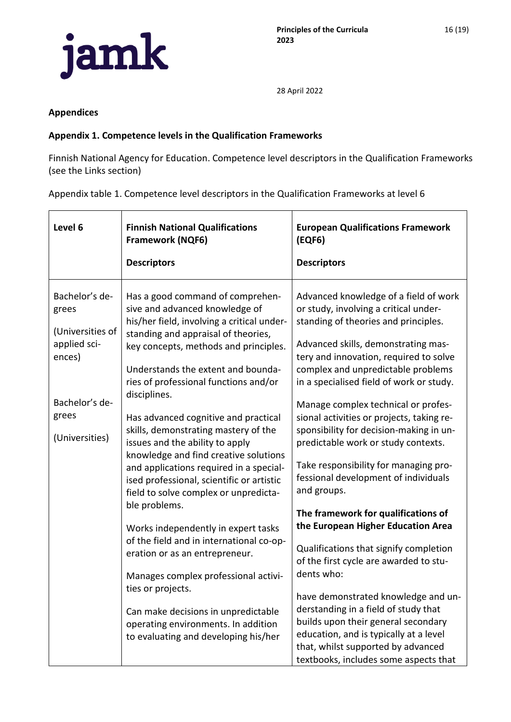

16 (19)

28 April 2022

#### <span id="page-15-0"></span>**Appendices**

#### <span id="page-15-1"></span>**Appendix 1. Competence levels in the Qualification Frameworks**

Finnish National Agency for Education. Competence level descriptors in the Qualification Frameworks (see the Links section)

Appendix table 1. Competence level descriptors in the Qualification Frameworks at level 6

| Level 6                                                                                                            | <b>Finnish National Qualifications</b><br><b>Framework (NQF6)</b><br><b>Descriptors</b>                                                                                                                                                                                                                                                                                                                                                                                                                                                                                                                                                                                                                                                                                                                                                                                                                               | <b>European Qualifications Framework</b><br>(EQF6)<br><b>Descriptors</b>                                                                                                                                                                                                                                                                                                                                                                                                                                                                                                                                                                                                                                                                                                                                                                                                                                                                                                                      |
|--------------------------------------------------------------------------------------------------------------------|-----------------------------------------------------------------------------------------------------------------------------------------------------------------------------------------------------------------------------------------------------------------------------------------------------------------------------------------------------------------------------------------------------------------------------------------------------------------------------------------------------------------------------------------------------------------------------------------------------------------------------------------------------------------------------------------------------------------------------------------------------------------------------------------------------------------------------------------------------------------------------------------------------------------------|-----------------------------------------------------------------------------------------------------------------------------------------------------------------------------------------------------------------------------------------------------------------------------------------------------------------------------------------------------------------------------------------------------------------------------------------------------------------------------------------------------------------------------------------------------------------------------------------------------------------------------------------------------------------------------------------------------------------------------------------------------------------------------------------------------------------------------------------------------------------------------------------------------------------------------------------------------------------------------------------------|
| Bachelor's de-<br>grees<br>(Universities of<br>applied sci-<br>ences)<br>Bachelor's de-<br>grees<br>(Universities) | Has a good command of comprehen-<br>sive and advanced knowledge of<br>his/her field, involving a critical under-<br>standing and appraisal of theories,<br>key concepts, methods and principles.<br>Understands the extent and bounda-<br>ries of professional functions and/or<br>disciplines.<br>Has advanced cognitive and practical<br>skills, demonstrating mastery of the<br>issues and the ability to apply<br>knowledge and find creative solutions<br>and applications required in a special-<br>ised professional, scientific or artistic<br>field to solve complex or unpredicta-<br>ble problems.<br>Works independently in expert tasks<br>of the field and in international co-op-<br>eration or as an entrepreneur.<br>Manages complex professional activi-<br>ties or projects.<br>Can make decisions in unpredictable<br>operating environments. In addition<br>to evaluating and developing his/her | Advanced knowledge of a field of work<br>or study, involving a critical under-<br>standing of theories and principles.<br>Advanced skills, demonstrating mas-<br>tery and innovation, required to solve<br>complex and unpredictable problems<br>in a specialised field of work or study.<br>Manage complex technical or profes-<br>sional activities or projects, taking re-<br>sponsibility for decision-making in un-<br>predictable work or study contexts.<br>Take responsibility for managing pro-<br>fessional development of individuals<br>and groups.<br>The framework for qualifications of<br>the European Higher Education Area<br>Qualifications that signify completion<br>of the first cycle are awarded to stu-<br>dents who:<br>have demonstrated knowledge and un-<br>derstanding in a field of study that<br>builds upon their general secondary<br>education, and is typically at a level<br>that, whilst supported by advanced<br>textbooks, includes some aspects that |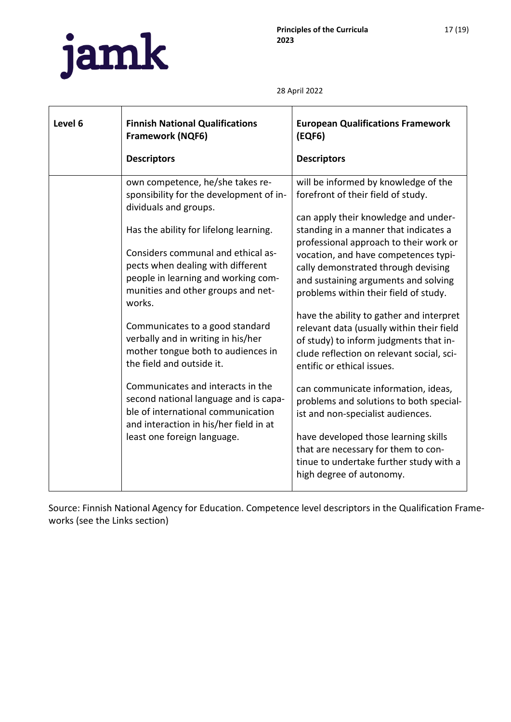

| Level 6 | <b>Finnish National Qualifications</b><br><b>Framework (NQF6)</b><br><b>Descriptors</b>                                                                    | <b>European Qualifications Framework</b><br>(EQF6)<br><b>Descriptors</b>                                                                                                                               |
|---------|------------------------------------------------------------------------------------------------------------------------------------------------------------|--------------------------------------------------------------------------------------------------------------------------------------------------------------------------------------------------------|
|         | own competence, he/she takes re-                                                                                                                           | will be informed by knowledge of the                                                                                                                                                                   |
|         | sponsibility for the development of in-<br>dividuals and groups.                                                                                           | forefront of their field of study.<br>can apply their knowledge and under-                                                                                                                             |
|         | Has the ability for lifelong learning.<br>Considers communal and ethical as-<br>pects when dealing with different<br>people in learning and working com-   | standing in a manner that indicates a<br>professional approach to their work or<br>vocation, and have competences typi-<br>cally demonstrated through devising<br>and sustaining arguments and solving |
|         | munities and other groups and net-<br>works.<br>Communicates to a good standard<br>verbally and in writing in his/her                                      | problems within their field of study.<br>have the ability to gather and interpret<br>relevant data (usually within their field<br>of study) to inform judgments that in-                               |
|         | mother tongue both to audiences in<br>the field and outside it.                                                                                            | clude reflection on relevant social, sci-<br>entific or ethical issues.                                                                                                                                |
|         | Communicates and interacts in the<br>second national language and is capa-<br>ble of international communication<br>and interaction in his/her field in at | can communicate information, ideas,<br>problems and solutions to both special-<br>ist and non-specialist audiences.                                                                                    |
|         | least one foreign language.                                                                                                                                | have developed those learning skills<br>that are necessary for them to con-<br>tinue to undertake further study with a<br>high degree of autonomy.                                                     |

Source: Finnish National Agency for Education. Competence level descriptors in the Qualification Frameworks (see the Links section)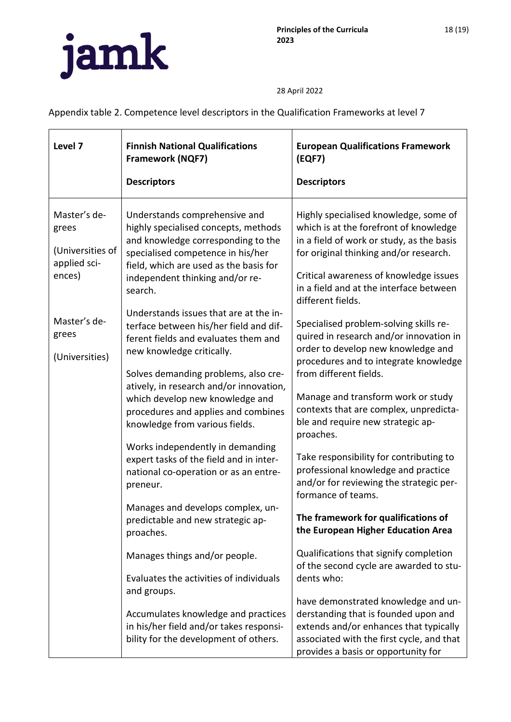

Appendix table 2. Competence level descriptors in the Qualification Frameworks at level 7

| Level 7                                                                                                        | <b>Finnish National Qualifications</b><br><b>Framework (NQF7)</b><br><b>Descriptors</b>                                                                                                                                                                                                                                                                                                                                                                                                                                                                                                                                                                                                                                                                                                                        | <b>European Qualifications Framework</b><br>(EQF7)<br><b>Descriptors</b>                                                                                                                                                                                                                                                                                                                                                                                                                                                                                                                                                                                                                                                                                                                                   |
|----------------------------------------------------------------------------------------------------------------|----------------------------------------------------------------------------------------------------------------------------------------------------------------------------------------------------------------------------------------------------------------------------------------------------------------------------------------------------------------------------------------------------------------------------------------------------------------------------------------------------------------------------------------------------------------------------------------------------------------------------------------------------------------------------------------------------------------------------------------------------------------------------------------------------------------|------------------------------------------------------------------------------------------------------------------------------------------------------------------------------------------------------------------------------------------------------------------------------------------------------------------------------------------------------------------------------------------------------------------------------------------------------------------------------------------------------------------------------------------------------------------------------------------------------------------------------------------------------------------------------------------------------------------------------------------------------------------------------------------------------------|
| Master's de-<br>grees<br>(Universities of<br>applied sci-<br>ences)<br>Master's de-<br>grees<br>(Universities) | Understands comprehensive and<br>highly specialised concepts, methods<br>and knowledge corresponding to the<br>specialised competence in his/her<br>field, which are used as the basis for<br>independent thinking and/or re-<br>search.<br>Understands issues that are at the in-<br>terface between his/her field and dif-<br>ferent fields and evaluates them and<br>new knowledge critically.<br>Solves demanding problems, also cre-<br>atively, in research and/or innovation,<br>which develop new knowledge and<br>procedures and applies and combines<br>knowledge from various fields.<br>Works independently in demanding<br>expert tasks of the field and in inter-<br>national co-operation or as an entre-<br>preneur.<br>Manages and develops complex, un-<br>predictable and new strategic ap- | Highly specialised knowledge, some of<br>which is at the forefront of knowledge<br>in a field of work or study, as the basis<br>for original thinking and/or research.<br>Critical awareness of knowledge issues<br>in a field and at the interface between<br>different fields.<br>Specialised problem-solving skills re-<br>quired in research and/or innovation in<br>order to develop new knowledge and<br>procedures and to integrate knowledge<br>from different fields.<br>Manage and transform work or study<br>contexts that are complex, unpredicta-<br>ble and require new strategic ap-<br>proaches.<br>Take responsibility for contributing to<br>professional knowledge and practice<br>and/or for reviewing the strategic per-<br>formance of teams.<br>The framework for qualifications of |
|                                                                                                                | proaches.<br>Manages things and/or people.                                                                                                                                                                                                                                                                                                                                                                                                                                                                                                                                                                                                                                                                                                                                                                     | the European Higher Education Area<br>Qualifications that signify completion<br>of the second cycle are awarded to stu-                                                                                                                                                                                                                                                                                                                                                                                                                                                                                                                                                                                                                                                                                    |
|                                                                                                                | Evaluates the activities of individuals<br>and groups.<br>Accumulates knowledge and practices<br>in his/her field and/or takes responsi-<br>bility for the development of others.                                                                                                                                                                                                                                                                                                                                                                                                                                                                                                                                                                                                                              | dents who:<br>have demonstrated knowledge and un-<br>derstanding that is founded upon and<br>extends and/or enhances that typically<br>associated with the first cycle, and that<br>provides a basis or opportunity for                                                                                                                                                                                                                                                                                                                                                                                                                                                                                                                                                                                    |